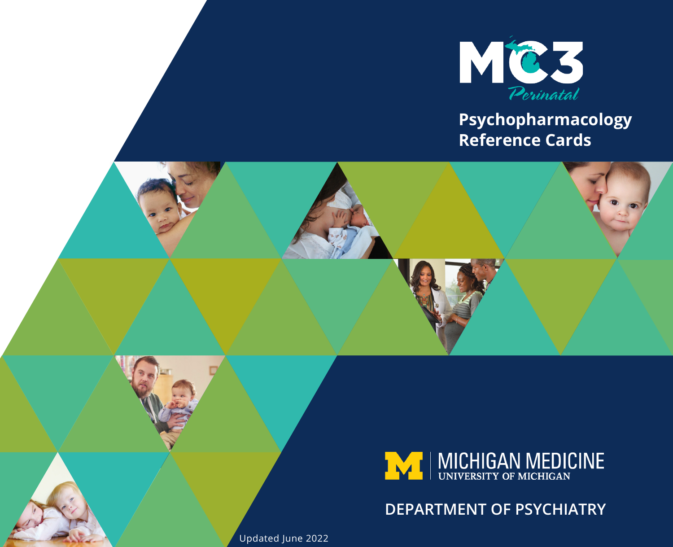

#### **Psychopharmacology Reference Cards**





#### **DEPARTMENT OF PSYCHIATRY**

Updated June 2022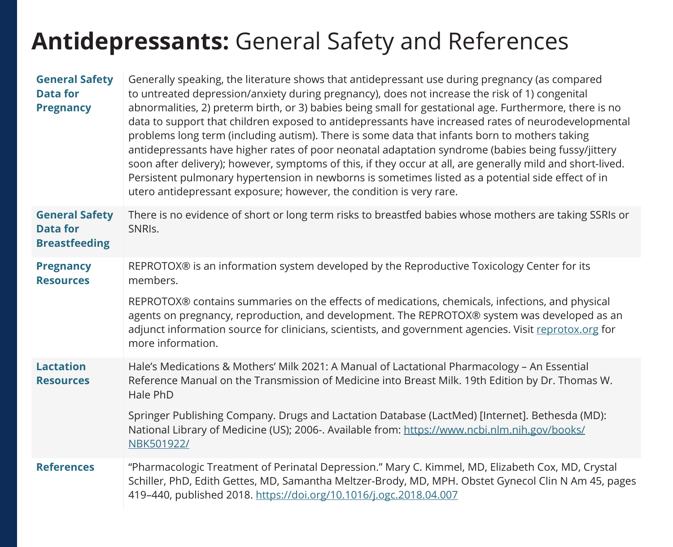#### **Antidepressants:** General Safety and References

| <b>General Safety</b><br><b>Data for</b><br><b>Pregnancy</b>     | Generally speaking, the literature shows that antidepressant use during pregnancy (as compared<br>to untreated depression/anxiety during pregnancy), does not increase the risk of 1) congenital<br>abnormalities, 2) preterm birth, or 3) babies being small for gestational age. Furthermore, there is no<br>data to support that children exposed to antidepressants have increased rates of neurodevelopmental<br>problems long term (including autism). There is some data that infants born to mothers taking<br>antidepressants have higher rates of poor neonatal adaptation syndrome (babies being fussy/jittery<br>soon after delivery); however, symptoms of this, if they occur at all, are generally mild and short-lived.<br>Persistent pulmonary hypertension in newborns is sometimes listed as a potential side effect of in<br>utero antidepressant exposure; however, the condition is very rare. |
|------------------------------------------------------------------|----------------------------------------------------------------------------------------------------------------------------------------------------------------------------------------------------------------------------------------------------------------------------------------------------------------------------------------------------------------------------------------------------------------------------------------------------------------------------------------------------------------------------------------------------------------------------------------------------------------------------------------------------------------------------------------------------------------------------------------------------------------------------------------------------------------------------------------------------------------------------------------------------------------------|
| <b>General Safety</b><br><b>Data for</b><br><b>Breastfeeding</b> | There is no evidence of short or long term risks to breastfed babies whose mothers are taking SSRIs or<br>SNRI <sub>s</sub> .                                                                                                                                                                                                                                                                                                                                                                                                                                                                                                                                                                                                                                                                                                                                                                                        |
| <b>Pregnancy</b><br><b>Resources</b>                             | REPROTOX® is an information system developed by the Reproductive Toxicology Center for its<br>members.                                                                                                                                                                                                                                                                                                                                                                                                                                                                                                                                                                                                                                                                                                                                                                                                               |
|                                                                  | REPROTOX® contains summaries on the effects of medications, chemicals, infections, and physical<br>agents on pregnancy, reproduction, and development. The REPROTOX® system was developed as an<br>adjunct information source for clinicians, scientists, and government agencies. Visit reprotox.org for<br>more information.                                                                                                                                                                                                                                                                                                                                                                                                                                                                                                                                                                                       |
| <b>Lactation</b><br><b>Resources</b>                             | Hale's Medications & Mothers' Milk 2021: A Manual of Lactational Pharmacology - An Essential<br>Reference Manual on the Transmission of Medicine into Breast Milk. 19th Edition by Dr. Thomas W.<br>Hale PhD                                                                                                                                                                                                                                                                                                                                                                                                                                                                                                                                                                                                                                                                                                         |
|                                                                  | Springer Publishing Company. Drugs and Lactation Database (LactMed) [Internet]. Bethesda (MD):<br>National Library of Medicine (US); 2006-. Available from: https://www.ncbi.nlm.nih.gov/books/<br>NBK501922/                                                                                                                                                                                                                                                                                                                                                                                                                                                                                                                                                                                                                                                                                                        |
| <b>References</b>                                                | "Pharmacologic Treatment of Perinatal Depression." Mary C. Kimmel, MD, Elizabeth Cox, MD, Crystal<br>Schiller, PhD, Edith Gettes, MD, Samantha Meltzer-Brody, MD, MPH. Obstet Gynecol Clin N Am 45, pages<br>419-440, published 2018. https://doi.org/10.1016/j.ogc.2018.04.007                                                                                                                                                                                                                                                                                                                                                                                                                                                                                                                                                                                                                                      |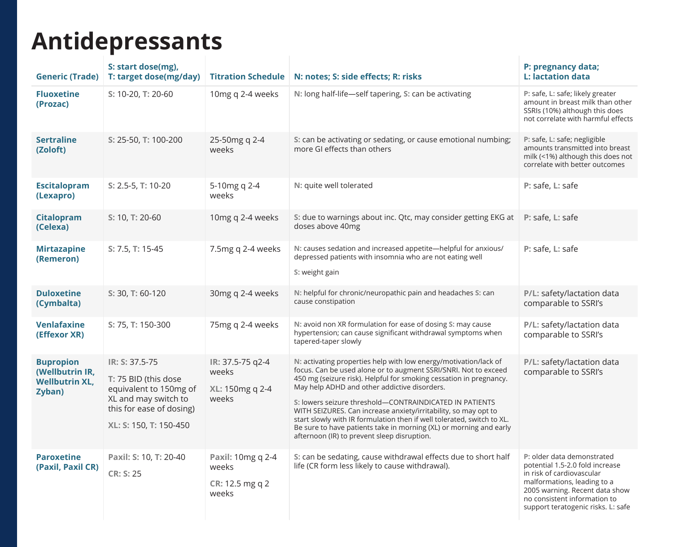# **Antidepressants**

| <b>Generic (Trade)</b>                                                 | S: start dose(mg).<br>T: target dose(mg/day)                                                                                                   | <b>Titration Schedule</b>                              | N: notes; S: side effects; R: risks                                                                                                                                                                                                                                                                                                                                                                                                                                                                                                                                                    | P: pregnancy data;<br>L: lactation data                                                                                                                                                                                           |
|------------------------------------------------------------------------|------------------------------------------------------------------------------------------------------------------------------------------------|--------------------------------------------------------|----------------------------------------------------------------------------------------------------------------------------------------------------------------------------------------------------------------------------------------------------------------------------------------------------------------------------------------------------------------------------------------------------------------------------------------------------------------------------------------------------------------------------------------------------------------------------------------|-----------------------------------------------------------------------------------------------------------------------------------------------------------------------------------------------------------------------------------|
| <b>Fluoxetine</b><br>(Prozac)                                          | S: 10-20, T: 20-60                                                                                                                             | 10mg q 2-4 weeks                                       | N: long half-life-self tapering, S: can be activating                                                                                                                                                                                                                                                                                                                                                                                                                                                                                                                                  | P: safe, L: safe; likely greater<br>amount in breast milk than other<br>SSRIs (10%) although this does<br>not correlate with harmful effects                                                                                      |
| <b>Sertraline</b><br>(Zoloft)                                          | S: 25-50, T: 100-200                                                                                                                           | 25-50mg q 2-4<br>weeks                                 | S: can be activating or sedating, or cause emotional numbing;<br>more GI effects than others                                                                                                                                                                                                                                                                                                                                                                                                                                                                                           | P: safe, L: safe; negligible<br>amounts transmitted into breast<br>milk (<1%) although this does not<br>correlate with better outcomes                                                                                            |
| <b>Escitalopram</b><br>(Lexapro)                                       | S: 2.5-5, T: 10-20                                                                                                                             | 5-10mg q 2-4<br>weeks                                  | N: quite well tolerated                                                                                                                                                                                                                                                                                                                                                                                                                                                                                                                                                                | P: safe, L: safe                                                                                                                                                                                                                  |
| <b>Citalopram</b><br>(Celexa)                                          | S: 10, T: 20-60                                                                                                                                | 10mg q 2-4 weeks                                       | S: due to warnings about inc. Qtc, may consider getting EKG at<br>doses above 40mg                                                                                                                                                                                                                                                                                                                                                                                                                                                                                                     | P: safe, L: safe                                                                                                                                                                                                                  |
| <b>Mirtazapine</b><br>(Remeron)                                        | S: 7.5, T: 15-45                                                                                                                               | 7.5mg q 2-4 weeks                                      | N: causes sedation and increased appetite-helpful for anxious/<br>depressed patients with insomnia who are not eating well<br>S: weight gain                                                                                                                                                                                                                                                                                                                                                                                                                                           | P: safe, L: safe                                                                                                                                                                                                                  |
| <b>Duloxetine</b><br>(Cymbalta)                                        | S: 30, T: 60-120                                                                                                                               | 30mg q 2-4 weeks                                       | N: helpful for chronic/neuropathic pain and headaches S: can<br>cause constipation                                                                                                                                                                                                                                                                                                                                                                                                                                                                                                     | P/L: safety/lactation data<br>comparable to SSRI's                                                                                                                                                                                |
| <b>Venlafaxine</b><br>(Effexor XR)                                     | S: 75, T: 150-300                                                                                                                              | 75mg q 2-4 weeks                                       | N: avoid non XR formulation for ease of dosing S: may cause<br>hypertension; can cause significant withdrawal symptoms when<br>tapered-taper slowly                                                                                                                                                                                                                                                                                                                                                                                                                                    | P/L: safety/lactation data<br>comparable to SSRI's                                                                                                                                                                                |
| <b>Bupropion</b><br>(Wellbutrin IR,<br><b>Wellbutrin XL,</b><br>Zyban) | IR: S: 37.5-75<br>T: 75 BID (this dose<br>equivalent to 150mg of<br>XL and may switch to<br>this for ease of dosing)<br>XL: S: 150, T: 150-450 | IR: 37.5-75 g2-4<br>weeks<br>XL: 150mg q 2-4<br>weeks  | N: activating properties help with low energy/motivation/lack of<br>focus. Can be used alone or to augment SSRI/SNRI. Not to exceed<br>450 mg (seizure risk). Helpful for smoking cessation in pregnancy.<br>May help ADHD and other addictive disorders.<br>S: lowers seizure threshold-CONTRAINDICATED IN PATIENTS<br>WITH SEIZURES. Can increase anxiety/irritability, so may opt to<br>start slowly with IR formulation then if well tolerated, switch to XL.<br>Be sure to have patients take in morning (XL) or morning and early<br>afternoon (IR) to prevent sleep disruption. | P/L: safety/lactation data<br>comparable to SSRI's                                                                                                                                                                                |
| <b>Paroxetine</b><br>(Paxil, Paxil CR)                                 | Paxil: S: 10, T: 20-40<br>CR: S: 25                                                                                                            | Paxil: 10mg q 2-4<br>weeks<br>CR: 12.5 mg q 2<br>weeks | S: can be sedating, cause withdrawal effects due to short half<br>life (CR form less likely to cause withdrawal).                                                                                                                                                                                                                                                                                                                                                                                                                                                                      | P: older data demonstrated<br>potential 1.5-2.0 fold increase<br>in risk of cardiovascular<br>malformations, leading to a<br>2005 warning. Recent data show<br>no consistent information to<br>support teratogenic risks. L: safe |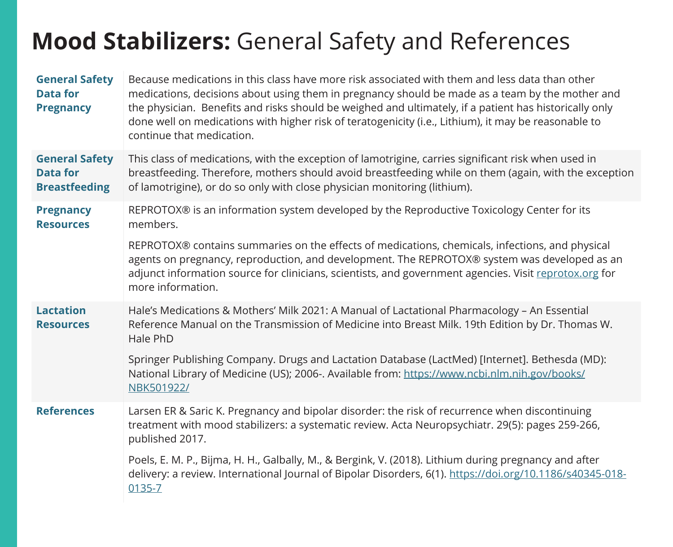#### **Mood Stabilizers:** General Safety and References

| <b>General Safety</b><br><b>Data for</b><br><b>Pregnancy</b>     | Because medications in this class have more risk associated with them and less data than other<br>medications, decisions about using them in pregnancy should be made as a team by the mother and<br>the physician. Benefits and risks should be weighed and ultimately, if a patient has historically only<br>done well on medications with higher risk of teratogenicity (i.e., Lithium), it may be reasonable to<br>continue that medication. |
|------------------------------------------------------------------|--------------------------------------------------------------------------------------------------------------------------------------------------------------------------------------------------------------------------------------------------------------------------------------------------------------------------------------------------------------------------------------------------------------------------------------------------|
| <b>General Safety</b><br><b>Data for</b><br><b>Breastfeeding</b> | This class of medications, with the exception of lamotrigine, carries significant risk when used in<br>breastfeeding. Therefore, mothers should avoid breastfeeding while on them (again, with the exception<br>of lamotrigine), or do so only with close physician monitoring (lithium).                                                                                                                                                        |
| <b>Pregnancy</b><br><b>Resources</b>                             | REPROTOX® is an information system developed by the Reproductive Toxicology Center for its<br>members.                                                                                                                                                                                                                                                                                                                                           |
|                                                                  | REPROTOX® contains summaries on the effects of medications, chemicals, infections, and physical<br>agents on pregnancy, reproduction, and development. The REPROTOX® system was developed as an<br>adjunct information source for clinicians, scientists, and government agencies. Visit reprotox.org for<br>more information.                                                                                                                   |
| <b>Lactation</b><br><b>Resources</b>                             | Hale's Medications & Mothers' Milk 2021: A Manual of Lactational Pharmacology - An Essential<br>Reference Manual on the Transmission of Medicine into Breast Milk. 19th Edition by Dr. Thomas W.<br>Hale PhD                                                                                                                                                                                                                                     |
|                                                                  | Springer Publishing Company. Drugs and Lactation Database (LactMed) [Internet]. Bethesda (MD):<br>National Library of Medicine (US); 2006-. Available from: https://www.ncbi.nlm.nih.gov/books/<br>NBK501922/                                                                                                                                                                                                                                    |
| <b>References</b>                                                | Larsen ER & Saric K. Pregnancy and bipolar disorder: the risk of recurrence when discontinuing<br>treatment with mood stabilizers: a systematic review. Acta Neuropsychiatr. 29(5): pages 259-266,<br>published 2017.                                                                                                                                                                                                                            |
|                                                                  | Poels, E. M. P., Bijma, H. H., Galbally, M., & Bergink, V. (2018). Lithium during pregnancy and after<br>delivery: a review. International Journal of Bipolar Disorders, 6(1). https://doi.org/10.1186/s40345-018-<br>0135-7                                                                                                                                                                                                                     |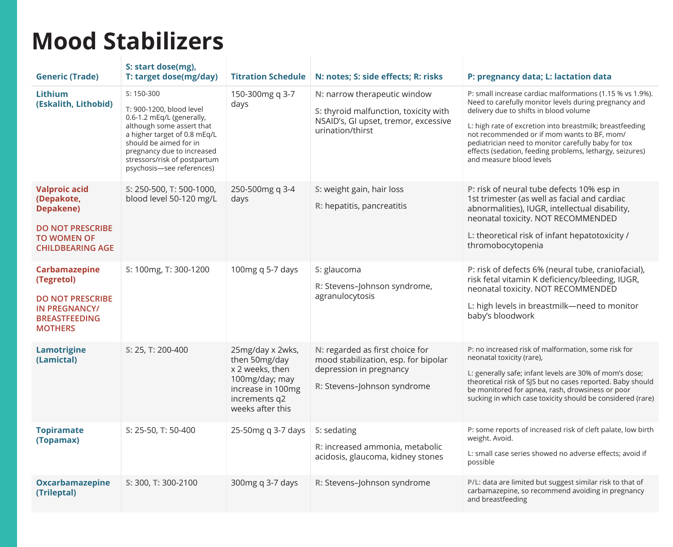#### **Mood Stabilizers**

| <b>Generic (Trade)</b>                                                                                                      | S: start dose(mg),<br>T: target dose(mg/day)                                                                                                                                                                                                            | <b>Titration Schedule</b>                                                                                                        | N: notes; S: side effects; R: risks                                                                                               | P: pregnancy data; L: lactation data                                                                                                                                                                                                                                                                                                                                                                                    |
|-----------------------------------------------------------------------------------------------------------------------------|---------------------------------------------------------------------------------------------------------------------------------------------------------------------------------------------------------------------------------------------------------|----------------------------------------------------------------------------------------------------------------------------------|-----------------------------------------------------------------------------------------------------------------------------------|-------------------------------------------------------------------------------------------------------------------------------------------------------------------------------------------------------------------------------------------------------------------------------------------------------------------------------------------------------------------------------------------------------------------------|
| <b>Lithium</b><br>(Eskalith, Lithobid)                                                                                      | $S: 150-300$<br>T: 900-1200, blood level<br>0.6-1.2 mEg/L (generally,<br>although some assert that<br>a higher target of 0.8 mEq/L<br>should be aimed for in<br>pregnancy due to increased<br>stressors/risk of postpartum<br>psychosis-see references) | 150-300mg q 3-7<br>days                                                                                                          | N: narrow therapeutic window<br>S: thyroid malfunction, toxicity with<br>NSAID's, GI upset, tremor, excessive<br>urination/thirst | P: small increase cardiac malformations (1.15 % vs 1.9%).<br>Need to carefully monitor levels during pregnancy and<br>delivery due to shifts in blood volume<br>L: high rate of excretion into breastmilk; breastfeeding<br>not recommended or if mom wants to BF, mom/<br>pediatrician need to monitor carefully baby for tox<br>effects (sedation, feeding problems, lethargy, seizures)<br>and measure blood levels. |
| <b>Valproic acid</b><br>(Depakote,<br>Depakene)<br><b>DO NOT PRESCRIBE</b><br><b>TO WOMEN OF</b><br><b>CHILDBEARING AGE</b> | S: 250-500, T: 500-1000,<br>blood level 50-120 mg/L                                                                                                                                                                                                     | 250-500mg q 3-4<br>days                                                                                                          | S: weight gain, hair loss<br>R: hepatitis, pancreatitis                                                                           | P: risk of neural tube defects 10% esp in<br>1st trimester (as well as facial and cardiac<br>abnormalities), IUGR, intellectual disability,<br>neonatal toxicity. NOT RECOMMENDED<br>L: theoretical risk of infant hepatotoxicity /<br>thromobocytopenia                                                                                                                                                                |
| Carbamazepine<br>(Tegretol)<br><b>DO NOT PRESCRIBE</b><br><b>IN PREGNANCY/</b><br><b>BREASTFEEDING</b><br><b>MOTHERS</b>    | S: 100mg, T: 300-1200                                                                                                                                                                                                                                   | 100mg q 5-7 days                                                                                                                 | S: glaucoma<br>R: Stevens-Johnson syndrome,<br>agranulocytosis                                                                    | P: risk of defects 6% (neural tube, craniofacial),<br>risk fetal vitamin K deficiency/bleeding, IUGR,<br>neonatal toxicity. NOT RECOMMENDED<br>L: high levels in breastmilk-need to monitor<br>baby's bloodwork                                                                                                                                                                                                         |
| Lamotrigine<br>(Lamictal)                                                                                                   | S: 25, T: 200-400                                                                                                                                                                                                                                       | 25mg/day x 2wks,<br>then 50mg/day<br>x 2 weeks, then<br>100mg/day; may<br>increase in 100mg<br>increments q2<br>weeks after this | N: regarded as first choice for<br>mood stabilization, esp. for bipolar<br>depression in pregnancy<br>R: Stevens-Johnson syndrome | P: no increased risk of malformation, some risk for<br>neonatal toxicity (rare),<br>L: generally safe; infant levels are 30% of mom's dose;<br>theoretical risk of SJS but no cases reported. Baby should<br>be monitored for apnea, rash, drowsiness or poor<br>sucking in which case toxicity should be considered (rare)                                                                                             |
| <b>Topiramate</b><br>(Topamax)                                                                                              | S: 25-50, T: 50-400                                                                                                                                                                                                                                     | 25-50mg q 3-7 days                                                                                                               | S: sedating<br>R: increased ammonia, metabolic<br>acidosis, glaucoma, kidney stones                                               | P: some reports of increased risk of cleft palate, low birth<br>weight. Avoid.<br>L: small case series showed no adverse effects: avoid if<br>possible                                                                                                                                                                                                                                                                  |
| <b>Oxcarbamazepine</b><br>(Trileptal)                                                                                       | S: 300, T: 300-2100                                                                                                                                                                                                                                     | 300mg g 3-7 days                                                                                                                 | R: Stevens-Johnson syndrome                                                                                                       | P/L: data are limited but suggest similar risk to that of<br>carbamazepine, so recommend avoiding in pregnancy<br>and breastfeeding                                                                                                                                                                                                                                                                                     |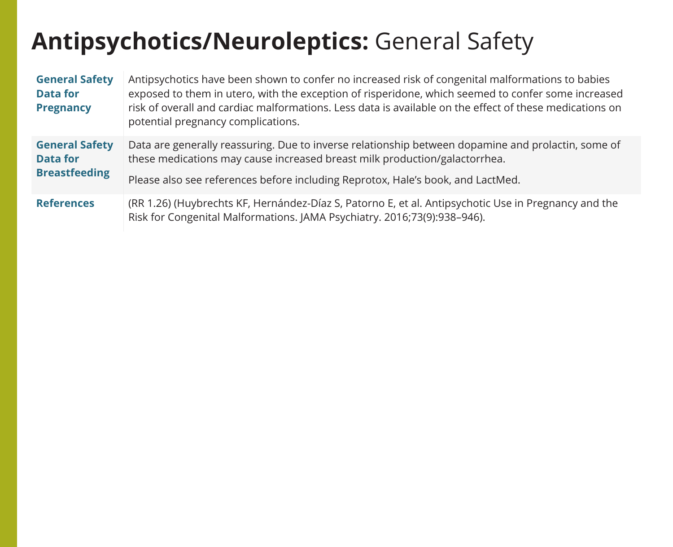### **Antipsychotics/Neuroleptics:** General Safety

| <b>General Safety</b><br><b>Data for</b><br><b>Pregnancy</b>     | Antipsychotics have been shown to confer no increased risk of congenital malformations to babies<br>exposed to them in utero, with the exception of risperidone, which seemed to confer some increased<br>risk of overall and cardiac malformations. Less data is available on the effect of these medications on<br>potential pregnancy complications. |
|------------------------------------------------------------------|---------------------------------------------------------------------------------------------------------------------------------------------------------------------------------------------------------------------------------------------------------------------------------------------------------------------------------------------------------|
| <b>General Safety</b><br><b>Data for</b><br><b>Breastfeeding</b> | Data are generally reassuring. Due to inverse relationship between dopamine and prolactin, some of<br>these medications may cause increased breast milk production/galactorrhea.<br>Please also see references before including Reprotox, Hale's book, and LactMed.                                                                                     |
| <b>References</b>                                                | (RR 1.26) (Huybrechts KF, Hernández-Díaz S, Patorno E, et al. Antipsychotic Use in Pregnancy and the<br>Risk for Congenital Malformations. JAMA Psychiatry. 2016;73(9):938-946).                                                                                                                                                                        |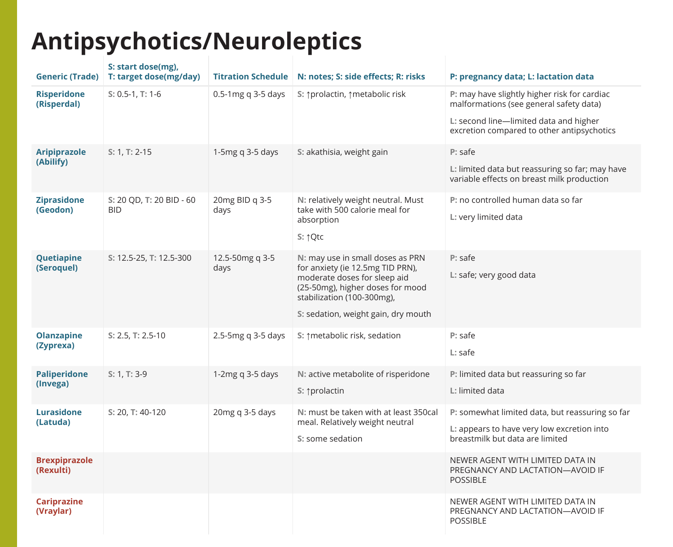### **Antipsychotics/Neuroleptics**

| <b>Generic (Trade)</b>            | S: start dose(mg),<br>T: target dose(mg/day) | <b>Titration Schedule</b> | N: notes; S: side effects; R: risks                                                                                                                                                                           | P: pregnancy data; L: lactation data                                                                                                                                            |
|-----------------------------------|----------------------------------------------|---------------------------|---------------------------------------------------------------------------------------------------------------------------------------------------------------------------------------------------------------|---------------------------------------------------------------------------------------------------------------------------------------------------------------------------------|
| <b>Risperidone</b><br>(Risperdal) | $S: 0.5-1, T: 1-6$                           | 0.5-1mg q 3-5 days        | S: 1prolactin, 1metabolic risk                                                                                                                                                                                | P: may have slightly higher risk for cardiac<br>malformations (see general safety data)<br>L: second line-limited data and higher<br>excretion compared to other antipsychotics |
| <b>Aripiprazole</b><br>(Abilify)  | $S: 1, T: 2-15$                              | 1-5 $mgq$ 3-5 days        | S: akathisia, weight gain                                                                                                                                                                                     | P: safe<br>L: limited data but reassuring so far; may have<br>variable effects on breast milk production                                                                        |
| <b>Ziprasidone</b><br>(Geodon)    | S: 20 QD, T: 20 BID - 60<br><b>BID</b>       | 20mg BID q 3-5<br>days    | N: relatively weight neutral. Must<br>take with 500 calorie meal for<br>absorption<br>S: ↑Qtc                                                                                                                 | P: no controlled human data so far<br>L: very limited data                                                                                                                      |
| <b>Quetiapine</b><br>(Seroquel)   | S: 12.5-25, T: 12.5-300                      | 12.5-50mg q 3-5<br>days   | N: may use in small doses as PRN<br>for anxiety (ie 12.5mg TID PRN),<br>moderate doses for sleep aid<br>(25-50mg), higher doses for mood<br>stabilization (100-300mg),<br>S: sedation, weight gain, dry mouth | $P:$ safe<br>L: safe; very good data                                                                                                                                            |
| <b>Olanzapine</b><br>(Zyprexa)    | S: 2.5, T: 2.5-10                            | 2.5-5mg q 3-5 days        | S: ↑ metabolic risk, sedation                                                                                                                                                                                 | $P:$ safe<br>$L:$ safe                                                                                                                                                          |
| <b>Paliperidone</b><br>(Invega)   | S: 1, T: 3-9                                 | 1-2 $mgq$ 3-5 days        | N: active metabolite of risperidone<br>S: ↑prolactin                                                                                                                                                          | P: limited data but reassuring so far<br>L: limited data                                                                                                                        |
| <b>Lurasidone</b><br>(Latuda)     | S: 20, T: 40-120                             | 20mg q 3-5 days           | N: must be taken with at least 350cal<br>meal. Relatively weight neutral<br>S: some sedation                                                                                                                  | P: somewhat limited data, but reassuring so far<br>L: appears to have very low excretion into<br>breastmilk but data are limited                                                |
| <b>Brexpiprazole</b><br>(Rexulti) |                                              |                           |                                                                                                                                                                                                               | NEWER AGENT WITH LIMITED DATA IN<br>PREGNANCY AND LACTATION-AVOID IF<br><b>POSSIBLE</b>                                                                                         |
| <b>Cariprazine</b><br>(Vraylar)   |                                              |                           |                                                                                                                                                                                                               | NEWER AGENT WITH LIMITED DATA IN<br>PREGNANCY AND LACTATION-AVOID IF<br><b>POSSIBLE</b>                                                                                         |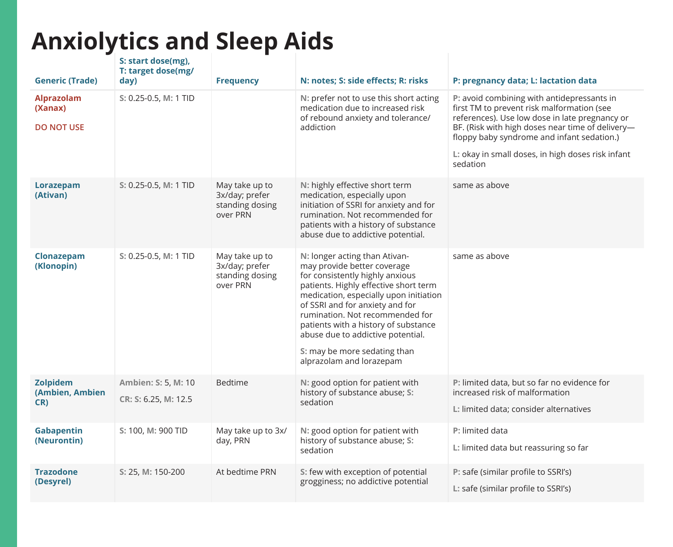## **Anxiolytics and Sleep Aids**

| <b>Generic (Trade)</b>                     | S: start dose(mg).<br>T: target dose(mg/<br>day) | <b>Frequency</b>                                                | N: notes; S: side effects; R: risks                                                                                                                                                                                                                                                                                                                                                               | P: pregnancy data; L: lactation data                                                                                                                                                                                                                                                                          |
|--------------------------------------------|--------------------------------------------------|-----------------------------------------------------------------|---------------------------------------------------------------------------------------------------------------------------------------------------------------------------------------------------------------------------------------------------------------------------------------------------------------------------------------------------------------------------------------------------|---------------------------------------------------------------------------------------------------------------------------------------------------------------------------------------------------------------------------------------------------------------------------------------------------------------|
| Alprazolam<br>(Xanax)<br><b>DO NOT USE</b> | S: 0.25-0.5, M: 1 TID                            |                                                                 | N: prefer not to use this short acting<br>medication due to increased risk<br>of rebound anxiety and tolerance/<br>addiction                                                                                                                                                                                                                                                                      | P: avoid combining with antidepressants in<br>first TM to prevent risk malformation (see<br>references). Use low dose in late pregnancy or<br>BF. (Risk with high doses near time of delivery-<br>floppy baby syndrome and infant sedation.)<br>L: okay in small doses, in high doses risk infant<br>sedation |
| Lorazepam<br>(Ativan)                      | S: 0.25-0.5, M: 1 TID                            | May take up to<br>3x/day; prefer<br>standing dosing<br>over PRN | N: highly effective short term<br>medication, especially upon<br>initiation of SSRI for anxiety and for<br>rumination. Not recommended for<br>patients with a history of substance<br>abuse due to addictive potential.                                                                                                                                                                           | same as above                                                                                                                                                                                                                                                                                                 |
| Clonazepam<br>(Klonopin)                   | S: 0.25-0.5, M: 1 TID                            | May take up to<br>3x/day; prefer<br>standing dosing<br>over PRN | N: longer acting than Ativan-<br>may provide better coverage<br>for consistently highly anxious<br>patients. Highly effective short term<br>medication, especially upon initiation<br>of SSRI and for anxiety and for<br>rumination. Not recommended for<br>patients with a history of substance<br>abuse due to addictive potential.<br>S: may be more sedating than<br>alprazolam and lorazepam | same as above                                                                                                                                                                                                                                                                                                 |
| <b>Zolpidem</b><br>(Ambien, Ambien<br>CR)  | Ambien: S: 5, M: 10<br>CR: S: 6.25, M: 12.5      | <b>Bedtime</b>                                                  | N: good option for patient with<br>history of substance abuse; S:<br>sedation                                                                                                                                                                                                                                                                                                                     | P: limited data, but so far no evidence for<br>increased risk of malformation<br>L: limited data; consider alternatives                                                                                                                                                                                       |
| Gabapentin<br>(Neurontin)                  | S: 100, M: 900 TID                               | May take up to 3x/<br>day, PRN                                  | N: good option for patient with<br>history of substance abuse; S:<br>sedation                                                                                                                                                                                                                                                                                                                     | P: limited data<br>L: limited data but reassuring so far                                                                                                                                                                                                                                                      |
| <b>Trazodone</b><br>(Desyrel)              | S: 25, M: 150-200                                | At bedtime PRN                                                  | S: few with exception of potential<br>grogginess; no addictive potential                                                                                                                                                                                                                                                                                                                          | P: safe (similar profile to SSRI's)<br>L: safe (similar profile to SSRI's)                                                                                                                                                                                                                                    |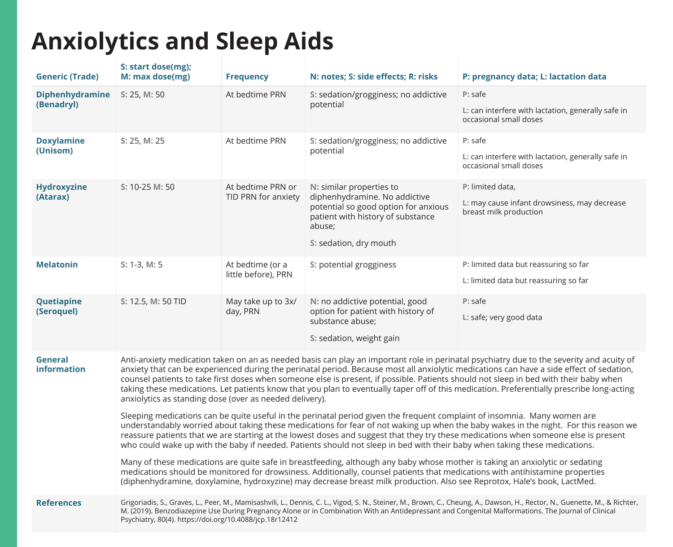## **Anxiolytics and Sleep Aids**

| <b>Generic (Trade)</b>               | S: start dose(mg);<br>M: max dose(mg)                                                                                                                                                                                                                                                                                                                                                                                                                                                                                                                                                                                                                                                                                                                                                                   | <b>Frequency</b>                         | N: notes; S: side effects; R: risks                                                                                                                                        | P: pregnancy data; L: lactation data                                                       |  |
|--------------------------------------|---------------------------------------------------------------------------------------------------------------------------------------------------------------------------------------------------------------------------------------------------------------------------------------------------------------------------------------------------------------------------------------------------------------------------------------------------------------------------------------------------------------------------------------------------------------------------------------------------------------------------------------------------------------------------------------------------------------------------------------------------------------------------------------------------------|------------------------------------------|----------------------------------------------------------------------------------------------------------------------------------------------------------------------------|--------------------------------------------------------------------------------------------|--|
| <b>Diphenhydramine</b><br>(Benadryl) | S: 25, M: 50                                                                                                                                                                                                                                                                                                                                                                                                                                                                                                                                                                                                                                                                                                                                                                                            | At bedtime PRN                           | S: sedation/grogginess; no addictive<br>potential                                                                                                                          | P: safe<br>L: can interfere with lactation, generally safe in<br>occasional small doses    |  |
| <b>Doxylamine</b><br>(Unisom)        | S: 25, M: 25                                                                                                                                                                                                                                                                                                                                                                                                                                                                                                                                                                                                                                                                                                                                                                                            | At bedtime PRN                           | S: sedation/grogginess; no addictive<br>potential                                                                                                                          | P: safe<br>L: can interfere with lactation, generally safe in<br>occasional small doses    |  |
| <b>Hydroxyzine</b><br>(Atarax)       | S: 10-25 M: 50                                                                                                                                                                                                                                                                                                                                                                                                                                                                                                                                                                                                                                                                                                                                                                                          | At bedtime PRN or<br>TID PRN for anxiety | N: similar properties to<br>diphenhydramine. No addictive<br>potential so good option for anxious<br>patient with history of substance<br>abuse;<br>S: sedation, dry mouth | P: limited data,<br>L: may cause infant drowsiness, may decrease<br>breast milk production |  |
| <b>Melatonin</b>                     | $S: 1-3, M: 5$                                                                                                                                                                                                                                                                                                                                                                                                                                                                                                                                                                                                                                                                                                                                                                                          | At bedtime (or a<br>little before), PRN  | S: potential grogginess                                                                                                                                                    | P: limited data but reassuring so far<br>L: limited data but reassuring so far             |  |
| Quetiapine<br>(Seroquel)             | S: 12.5, M: 50 TID                                                                                                                                                                                                                                                                                                                                                                                                                                                                                                                                                                                                                                                                                                                                                                                      | May take up to 3x/<br>day, PRN           | N: no addictive potential, good<br>option for patient with history of<br>substance abuse;<br>S: sedation, weight gain                                                      | P: safe<br>L: safe; very good data                                                         |  |
| General<br><b>information</b>        | Anti-anxiety medication taken on an as needed basis can play an important role in perinatal psychiatry due to the severity and acuity of<br>anxiety that can be experienced during the perinatal period. Because most all anxiolytic medications can have a side effect of sedation,<br>counsel patients to take first doses when someone else is present, if possible. Patients should not sleep in bed with their baby when<br>taking these medications. Let patients know that you plan to eventually taper off of this medication. Preferentially prescribe long-acting<br>anxiolytics as standing dose (over as needed delivery).<br>Sleeping medications can be quite useful in the perinatal period given the frequent complaint of insomnia. Many women are                                     |                                          |                                                                                                                                                                            |                                                                                            |  |
|                                      | understandably worried about taking these medications for fear of not waking up when the baby wakes in the night. For this reason we<br>reassure patients that we are starting at the lowest doses and suggest that they try these medications when someone else is present<br>who could wake up with the baby if needed. Patients should not sleep in bed with their baby when taking these medications.<br>Many of these medications are quite safe in breastfeeding, although any baby whose mother is taking an anxiolytic or sedating<br>medications should be monitored for drowsiness. Additionally, counsel patients that medications with antihistamine properties<br>(diphenhydramine, doxylamine, hydroxyzine) may decrease breast milk production. Also see Reprotox, Hale's book, LactMed. |                                          |                                                                                                                                                                            |                                                                                            |  |
| <b>References</b>                    | Grigoriadis, S., Graves, L., Peer, M., Mamisashvili, L., Dennis, C. L., Vigod, S. N., Steiner, M., Brown, C., Cheung, A., Dawson, H., Rector, N., Guenette, M., & Richter,<br>M. (2019). Benzodiazepine Use During Pregnancy Alone or in Combination With an Antidepressant and Congenital Malformations. The Journal of Clinical<br>Psychiatry, 80(4). https://doi.org/10.4088/jcp.18r12412                                                                                                                                                                                                                                                                                                                                                                                                            |                                          |                                                                                                                                                                            |                                                                                            |  |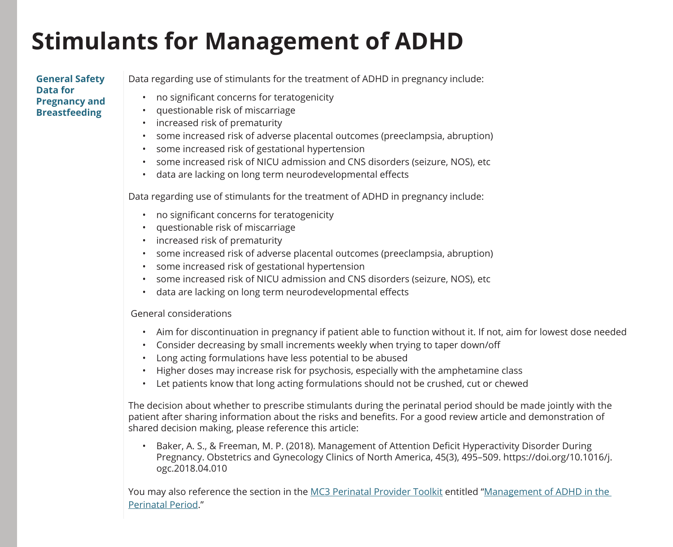#### **Stimulants for Management of ADHD**

#### **General Safety Data for Pregnancy and Breastfeeding**

Data regarding use of stimulants for the treatment of ADHD in pregnancy include:

- no significant concerns for teratogenicity
- questionable risk of miscarriage
- increased risk of prematurity
- some increased risk of adverse placental outcomes (preeclampsia, abruption)
- some increased risk of gestational hypertension
- some increased risk of NICU admission and CNS disorders (seizure, NOS), etc
- data are lacking on long term neurodevelopmental effects

Data regarding use of stimulants for the treatment of ADHD in pregnancy include:

- no significant concerns for teratogenicity
- questionable risk of miscarriage
- increased risk of prematurity
- some increased risk of adverse placental outcomes (preeclampsia, abruption)
- some increased risk of gestational hypertension
- some increased risk of NICU admission and CNS disorders (seizure, NOS), etc
- data are lacking on long term neurodevelopmental effects

#### General considerations

- Aim for discontinuation in pregnancy if patient able to function without it. If not, aim for lowest dose needed
- Consider decreasing by small increments weekly when trying to taper down/off
- Long acting formulations have less potential to be abused
- Higher doses may increase risk for psychosis, especially with the amphetamine class
- Let patients know that long acting formulations should not be crushed, cut or chewed

The decision about whether to prescribe stimulants during the perinatal period should be made jointly with the patient after sharing information about the risks and benefits. For a good review article and demonstration of shared decision making, please reference this article:

• Baker, A. S., & Freeman, M. P. (2018). Management of Attention Deficit Hyperactivity Disorder During Pregnancy. Obstetrics and Gynecology Clinics of North America, 45(3), 495–509. https://doi.org/10.1016/j. ogc.2018.04.010

You may also reference the section in the [MC3 Perinatal Provider Toolkit](https://mc3.depressioncenter.org/perinatal-provider-toolkit/) entitled "[Management of ADHD in the](https://mc3.depressioncenter.org/wp-content/uploads/2022/03/management-of-adhd-in-the-perinatal-period.pdf)  [Perinatal Period](https://mc3.depressioncenter.org/wp-content/uploads/2022/03/management-of-adhd-in-the-perinatal-period.pdf)."